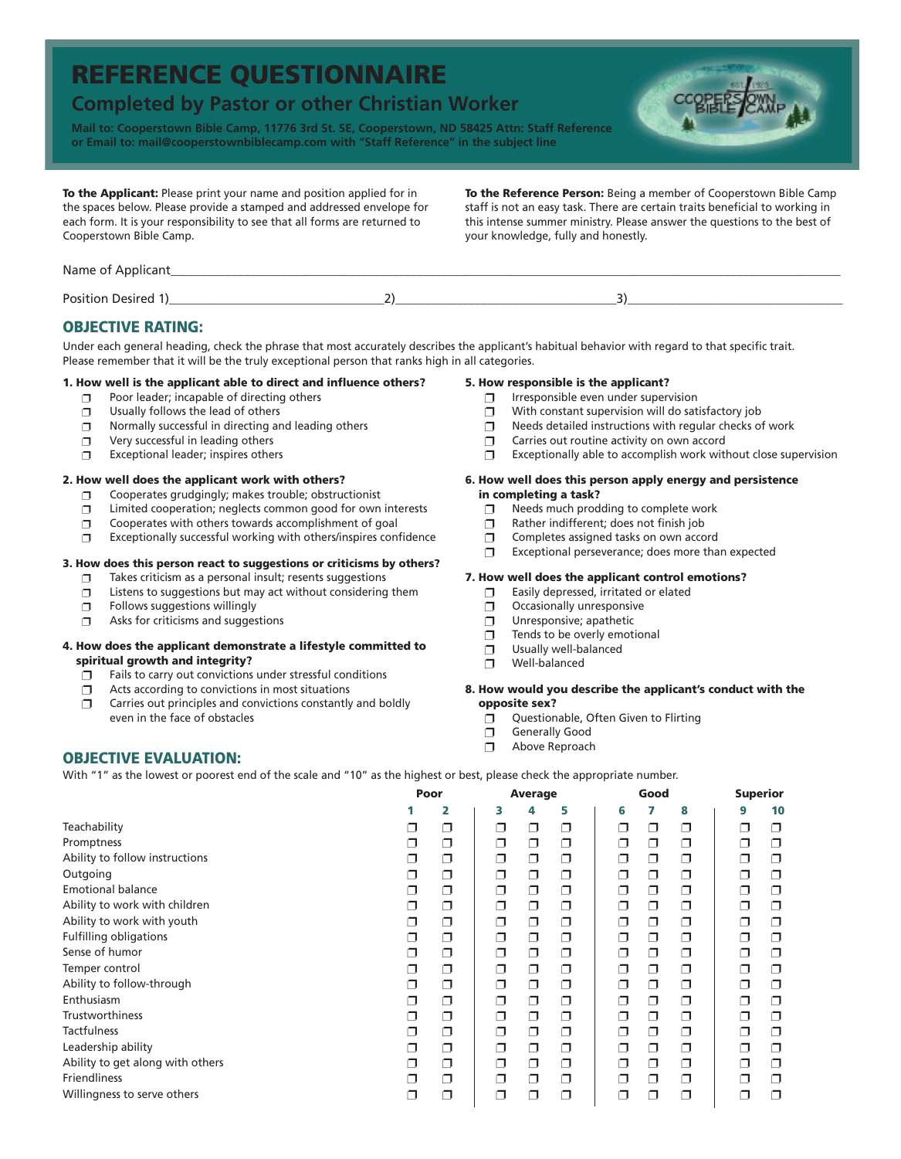# **REFERENCE QUESTIONNAIRE**

# **Completed by Pastor or other Christian Worker**

**Mail to: Cooperstown Bible Camp, 11776 3rd St. SE, Cooperstown, ND 58425 Attn: Staff Reference or Email to: mail@cooperstownbiblecamp.com with "Staff Reference" in the subject line**



**To the Applicant:** Please print your name and position applied for in the spaces below. Please provide a stamped and addressed envelope for each form. It is your responsibility to see that all forms are returned to Cooperstown Bible Camp.

**To the Reference Person:** Being a member of Cooperstown Bible Camp staff is not an easy task. There are certain traits beneficial to working in this intense summer ministry. Please answer the questions to the best of your knowledge, fully and honestly.

| Name of Applicant         |  |
|---------------------------|--|
| <b>Position Desired 1</b> |  |

## **OBJECTIVE RATING:**

Under each general heading, check the phrase that most accurately describes the applicant's habitual behavior with regard to that specific trait. Please remember that it will be the truly exceptional person that ranks high in all categories.

#### **1. How well is the applicant able to direct and influence others?**

- **p** Poor leader; incapable of directing others
- $\n **D**$  Usually follows the lead of others
- $\square$  Normally successful in directing and leading others
- $\neg$  Very successful in leading others
- $\square$  Exceptional leader; inspires others

#### **2. How well does the applicant work with others?**

- $\square$  Cooperates grudgingly; makes trouble; obstructionist
- $\Box$  Limited cooperation; neglects common good for own interests
- $\square$  Cooperates with others towards accomplishment of goal
- $\square$  Exceptionally successful working with others/inspires confidence

#### **3. How does this person react to suggestions or criticisms by others?**

- Takes criticism as a personal insult; resents suggestions
- $\Box$  Listens to suggestions but may act without considering them
- $\Box$  Follows suggestions willingly

**OBJECTIVE EVALUATION:**

 $\Box$  Asks for criticisms and suggestions

#### **4. How does the applicant demonstrate a lifestyle committed to spiritual growth and integrity?**

- $\Box$  Fails to carry out convictions under stressful conditions
- $\Box$  Acts according to convictions in most situations
- $\Box$  Carries out principles and convictions constantly and boldly even in the face of obstacles

#### **5. How responsible is the applicant?**

- $\Box$  Irresponsible even under supervision
- $\Box$  With constant supervision will do satisfactory job
- $\Box$  Needs detailed instructions with regular checks of work
- $\Box$  Carries out routine activity on own accord
- $\Box$  Exceptionally able to accomplish work without close supervision

#### **6. How well does this person apply energy and persistence in completing a task?**

- $\Box$  Needs much prodding to complete work
- **n** Rather indifferent; does not finish job
- **D** Completes assigned tasks on own accord
- $\square$  Exceptional perseverance; does more than expected

#### **7. How well does the applicant control emotions?**

- $\Box$  Easily depressed, irritated or elated
- $\Box$  Occasionally unresponsive
- $\Box$  Unresponsive; apathetic
- $\Box$  Tends to be overly emotional
- $\Box$  Usually well-balanced
- $\neg$  Well-balanced

#### **8. How would you describe the applicant's conduct with the opposite sex?**

- **Questionable, Often Given to Flirting**
- **p** Generally Good
- $\neg$  Above Reproach

With "1" as the lowest or poorest end of the scale and "10" as the highest or best, please check the appropriate number.

|                                  | Poor |   | <b>Average</b> |   |   | Good                     |   |   | <b>Superior</b> |    |
|----------------------------------|------|---|----------------|---|---|--------------------------|---|---|-----------------|----|
|                                  |      | 2 | з              | 4 | 5 | 6                        |   | 8 | 9               | 10 |
| Teachability                     |      | ⊓ | Π              | σ | ⊓ | H                        | ο | ο | $\Box$          | ⊓  |
| Promptness                       | ┐    | ⊓ | ⊓              | σ | □ | ⊓                        | □ | ο | ◘               | ⊓  |
| Ability to follow instructions   | - 1  | ⊓ | □              | σ | ⊓ |                          | ⊓ | ◘ | ⊓               | ⊓  |
| Outgoing                         | ┚    | Π | ο              | σ | σ | ⊓                        | σ | ο | σ               | ⊓  |
| <b>Emotional balance</b>         | ⊐    | □ | □              | σ | □ | ┐                        | ◘ | □ | ⊐               | ⊓  |
| Ability to work with children    | - 1  | ⊓ | ⊓              | σ | ⊓ |                          | ⊓ | ◘ | ⊓               | □  |
| Ability to work with youth       | ┚    | ⊓ | σ              | σ | ◘ | ⊓                        | σ | σ | σ               | ⊓  |
| <b>Fulfilling obligations</b>    | ┐    | ⊓ | □              | σ | □ | ┐                        | □ | ο | □               |    |
| Sense of humor                   | - 1  | ⊓ | ⊓              | σ | ⊓ |                          | Π | ⊓ | ⊓               | ⊓  |
| Temper control                   | ⊐    | ◘ | σ              | σ | ◘ | ⊓                        | σ | σ | ◘               | ⊓  |
| Ability to follow-through        | ┐    | ⊓ | ⊓              | σ | ⊓ | ┐                        | □ | ο | ⊓               | ⊓  |
| Enthusiasm                       | - 1  | ⊓ | ⊓              | σ | ⊓ | H                        | ⊓ | ο | ⊓               | ⊓  |
| <b>Trustworthiness</b>           | ┚    | ⊓ | σ              | σ | ◘ | □                        | σ | σ | σ               | П  |
| <b>Tactfulness</b>               | ┐    | ⊓ | ⊓              | σ | ⊓ | ר                        | Π | Π | ⊓               |    |
| Leadership ability               | - 1  | ⊓ | □              | σ | ⊓ | $\overline{\phantom{a}}$ | ⊓ | ο | Π               | ⊓  |
| Ability to get along with others | ┚    | ◘ | σ              | σ | ◘ | □                        | ο | σ | ◘               | ⊓  |
| Friendliness                     | ┐    | ⊓ | ⊓              | σ | ⊓ | ┐                        | σ | ο | ┐               |    |
| Willingness to serve others      | - 1  | ┐ | ⊓              | Π | ⊓ | - 1                      | П | ⊓ | - 1             | □  |